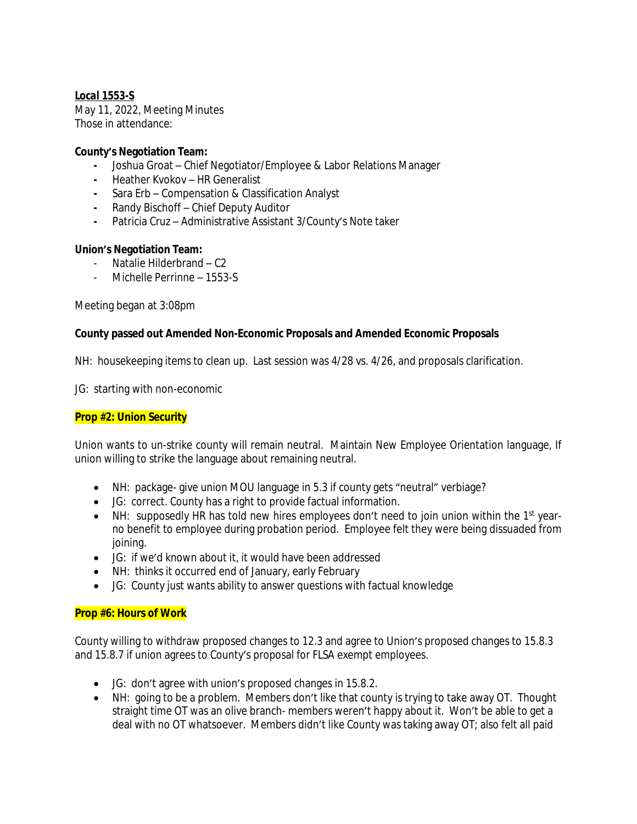### *Local 1553-S*

May 11, 2022, Meeting Minutes Those in attendance:

### **County's Negotiation Team:**

- **-** Joshua Groat Chief Negotiator/Employee & Labor Relations Manager
- **-** Heather Kvokov HR Generalist
- **-** Sara Erb Compensation & Classification Analyst
- **-** Randy Bischoff Chief Deputy Auditor
- **-** Patricia Cruz Administrative Assistant 3/County's Note taker

### **Union's Negotiation Team:**

- Natalie Hilderbrand C2
- Michelle Perrinne 1553-S

Meeting began at 3:08pm

#### **County passed out Amended Non-Economic Proposals and Amended Economic Proposals**

NH: housekeeping items to clean up. Last session was 4/28 vs. 4/26, and proposals clarification.

JG: starting with non-economic

### **Prop #2: Union Security**

Union wants to un-strike county will remain neutral. Maintain New Employee Orientation language, If union willing to strike the language about remaining neutral.

- NH: package- give union MOU language in 5.3 if county gets "neutral" verbiage?
- JG: correct. County has a right to provide factual information.
- NH: supposedly HR has told new hires employees don't need to join union within the 1<sup>st</sup> yearno benefit to employee during probation period. Employee felt they were being dissuaded from joining.
- JG: if we'd known about it, it would have been addressed
- NH: thinks it occurred end of January, early February
- JG: County just wants ability to answer questions with factual knowledge

### **Prop #6: Hours of Work**

County willing to withdraw proposed changes to 12.3 and agree to Union's proposed changes to 15.8.3 and 15.8.7 if union agrees to County's proposal for FLSA exempt employees.

- JG: don't agree with union's proposed changes in 15.8.2.
- NH: going to be a problem. Members don't like that county is trying to take away OT. Thought straight time OT was an olive branch- members weren't happy about it. Won't be able to get a deal with no OT whatsoever. Members didn't like County was taking away OT; also felt all paid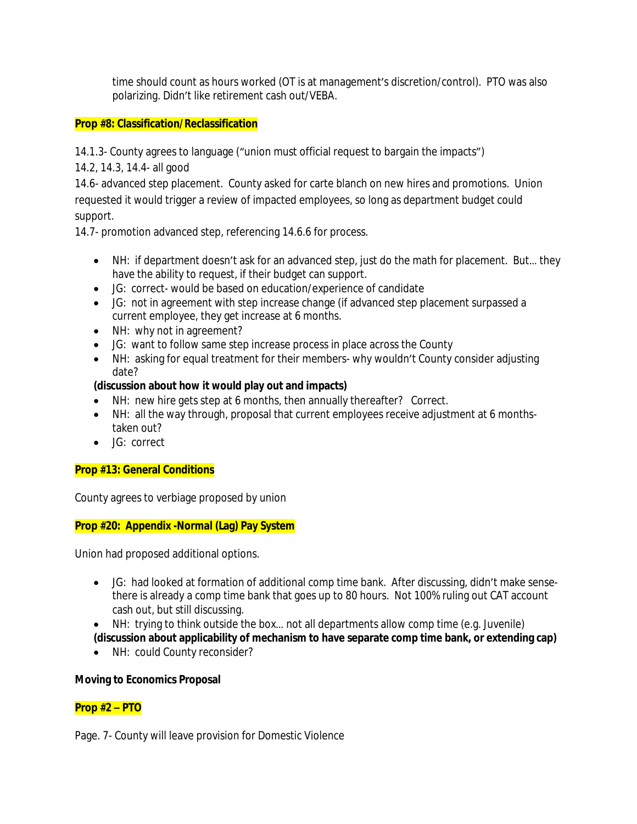time should count as hours worked (OT is at management's discretion/control). PTO was also polarizing. Didn't like retirement cash out/VEBA.

## **Prop #8: Classification/Reclassification**

14.1.3- County agrees to language ("union must official request to bargain the impacts")

14.2, 14.3, 14.4- all good

14.6- advanced step placement. County asked for carte blanch on new hires and promotions. Union requested it would trigger a review of impacted employees, so long as department budget could support.

14.7- promotion advanced step, referencing 14.6.6 for process.

- NH: if department doesn't ask for an advanced step, just do the math for placement. But… they have the ability to request, if their budget can support.
- JG: correct- would be based on education/experience of candidate
- JG: not in agreement with step increase change (if advanced step placement surpassed a current employee, they get increase at 6 months.
- NH: why not in agreement?
- JG: want to follow same step increase process in place across the County
- NH: asking for equal treatment for their members- why wouldn't County consider adjusting date?

# **(discussion about how it would play out and impacts)**

- NH: new hire gets step at 6 months, then annually thereafter? Correct.
- NH: all the way through, proposal that current employees receive adjustment at 6 monthstaken out?
- JG: correct

# **Prop #13: General Conditions**

County agrees to verbiage proposed by union

# **Prop #20: Appendix -Normal (Lag) Pay System**

Union had proposed additional options.

- JG: had looked at formation of additional comp time bank. After discussing, didn't make sensethere is already a comp time bank that goes up to 80 hours. Not 100% ruling out CAT account cash out, but still discussing.
- NH: trying to think outside the box… not all departments allow comp time (e.g. Juvenile) **(discussion about applicability of mechanism to have separate comp time bank, or extending cap)**
- NH: could County reconsider?

# **Moving to Economics Proposal**

# **Prop #2 – PTO**

Page. 7- County will leave provision for Domestic Violence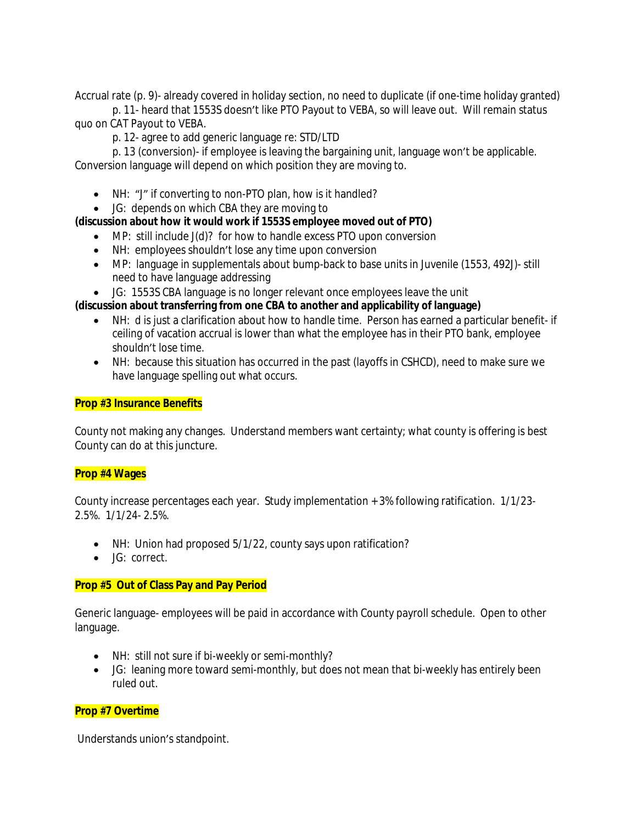Accrual rate (p. 9)- already covered in holiday section, no need to duplicate (if one-time holiday granted)

p. 11- heard that 1553S doesn't like PTO Payout to VEBA, so will leave out. Will remain status quo on CAT Payout to VEBA.

p. 12- agree to add generic language re: STD/LTD

p. 13 (conversion)- if employee is leaving the bargaining unit, language won't be applicable. Conversion language will depend on which position they are moving to.

- NH: "J" if converting to non-PTO plan, how is it handled?
- JG: depends on which CBA they are moving to

### **(discussion about how it would work if 1553S employee moved out of PTO)**

- MP: still include J(d)? for how to handle excess PTO upon conversion
- NH: employees shouldn't lose any time upon conversion
- MP: language in supplementals about bump-back to base units in Juvenile (1553, 492J)- still need to have language addressing
- JG: 1553S CBA language is no longer relevant once employees leave the unit

### **(discussion about transferring from one CBA to another and applicability of language)**

- NH: d is just a clarification about how to handle time. Person has earned a particular benefit- if ceiling of vacation accrual is lower than what the employee has in their PTO bank, employee shouldn't lose time.
- NH: because this situation has occurred in the past (layoffs in CSHCD), need to make sure we have language spelling out what occurs.

### **Prop #3 Insurance Benefits**

County not making any changes. Understand members want certainty; what county is offering is best County can do at this juncture.

### **Prop #4 Wages**

County increase percentages each year. Study implementation + 3% following ratification. 1/1/23- 2.5%. 1/1/24- 2.5%.

- NH: Union had proposed 5/1/22, county says upon ratification?
- JG: correct.

### **Prop #5 Out of Class Pay and Pay Period**

Generic language- employees will be paid in accordance with County payroll schedule. Open to other language.

- NH: still not sure if bi-weekly or semi-monthly?
- JG: leaning more toward semi-monthly, but does not mean that bi-weekly has entirely been ruled out.

### **Prop #7 Overtime**

Understands union's standpoint.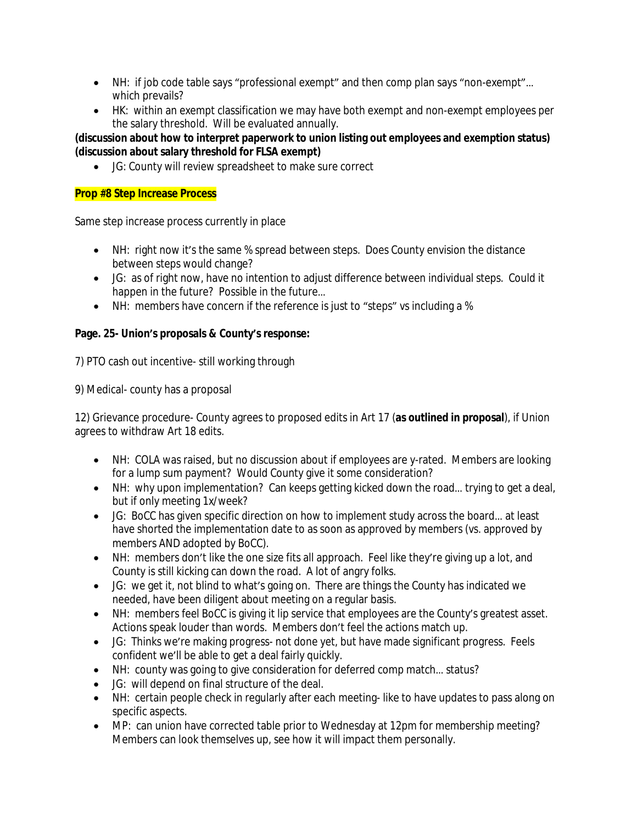- NH: if job code table says "professional exempt" and then comp plan says "non-exempt"… which prevails?
- HK: within an exempt classification we may have both exempt and non-exempt employees per the salary threshold. Will be evaluated annually.

### **(discussion about how to interpret paperwork to union listing out employees and exemption status) (discussion about salary threshold for FLSA exempt)**

JG: County will review spreadsheet to make sure correct

## **Prop #8 Step Increase Process**

Same step increase process currently in place

- NH: right now it's the same % spread between steps. Does County envision the distance between steps would change?
- JG: as of right now, have no intention to adjust difference between individual steps. Could it happen in the future? Possible in the future…
- NH: members have concern if the reference is just to "steps" vs including a %

## **Page. 25- Union's proposals & County's response:**

7) PTO cash out incentive- still working through

9) Medical- county has a proposal

12) Grievance procedure- County agrees to proposed edits in Art 17 (**as outlined in proposal**), if Union agrees to withdraw Art 18 edits.

- NH: COLA was raised, but no discussion about if employees are y-rated. Members are looking for a lump sum payment? Would County give it some consideration?
- NH: why upon implementation? Can keeps getting kicked down the road... trying to get a deal, but if only meeting 1x/week?
- JG: BoCC has given specific direction on how to implement study across the board… at least have shorted the implementation date to as soon as approved by members (vs. approved by members AND adopted by BoCC).
- NH: members don't like the one size fits all approach. Feel like they're giving up a lot, and County is still kicking can down the road. A lot of angry folks.
- JG: we get it, not blind to what's going on. There are things the County has indicated we needed, have been diligent about meeting on a regular basis.
- NH: members feel BoCC is giving it lip service that employees are the County's greatest asset. Actions speak louder than words. Members don't feel the actions match up.
- JG: Thinks we're making progress- not done yet, but have made significant progress. Feels confident we'll be able to get a deal fairly quickly.
- NH: county was going to give consideration for deferred comp match... status?
- JG: will depend on final structure of the deal.
- NH: certain people check in regularly after each meeting-like to have updates to pass along on specific aspects.
- MP: can union have corrected table prior to Wednesday at 12pm for membership meeting? Members can look themselves up, see how it will impact them personally.